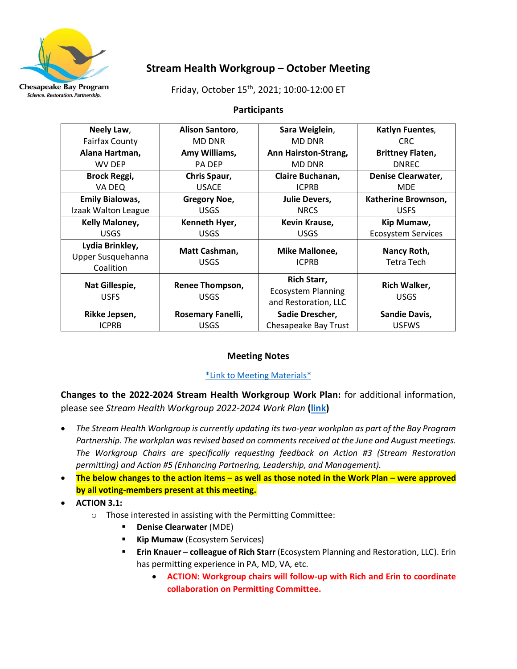

# **Stream Health Workgroup – October Meeting**

Friday, October 15th, 2021; 10:00-12:00 ET

## **Participants**

| Neely Law,                                        | Alison Santoro,                       | Sara Weiglein,                                                          | Katlyn Fuentes,                  |
|---------------------------------------------------|---------------------------------------|-------------------------------------------------------------------------|----------------------------------|
| <b>Fairfax County</b>                             | <b>MD DNR</b>                         | <b>MD DNR</b>                                                           | CRC.                             |
| Alana Hartman,                                    | Amy Williams,                         | Ann Hairston-Strang,                                                    | <b>Brittney Flaten,</b>          |
| WV DEP                                            | <b>PA DEP</b>                         | <b>MD DNR</b>                                                           | <b>DNREC</b>                     |
| <b>Brock Reggi,</b>                               | Chris Spaur,                          | Claire Buchanan,                                                        | <b>Denise Clearwater,</b>        |
| VA DEQ                                            | <b>USACE</b>                          | <b>ICPRB</b>                                                            | <b>MDE</b>                       |
| <b>Emily Bialowas,</b>                            | <b>Gregory Noe,</b>                   | <b>Julie Devers,</b>                                                    | Katherine Brownson,              |
| Izaak Walton League                               | <b>USGS</b>                           | <b>NRCS</b>                                                             | <b>USFS</b>                      |
| <b>Kelly Maloney,</b>                             | Kenneth Hyer,                         | Kevin Krause,                                                           | Kip Mumaw,                       |
| <b>USGS</b>                                       | <b>USGS</b>                           | <b>USGS</b>                                                             | <b>Ecosystem Services</b>        |
| Lydia Brinkley,<br>Upper Susquehanna<br>Coalition | Matt Cashman,<br><b>USGS</b>          | Mike Mallonee,<br><b>ICPRB</b>                                          | Nancy Roth,<br><b>Tetra Tech</b> |
| Nat Gillespie,<br><b>USFS</b>                     | <b>Renee Thompson,</b><br><b>USGS</b> | <b>Rich Starr,</b><br><b>Ecosystem Planning</b><br>and Restoration, LLC | Rich Walker,<br><b>USGS</b>      |
| Rikke Jepsen,                                     | Rosemary Fanelli,                     | Sadie Drescher,                                                         | <b>Sandie Davis,</b>             |
| <b>ICPRB</b>                                      | <b>USGS</b>                           | Chesapeake Bay Trust                                                    | <b>USFWS</b>                     |

# **Meeting Notes**

# [\\*Link to Meeting Materials\\*](https://www.chesapeakebay.net/what/event/stream_health_workgroup_october_meeting)

**Changes to the 2022-2024 Stream Health Workgroup Work Plan:** for additional information, please see *Stream Health Workgroup 2022-2024 Work Plan* **[\(link\)](https://www.chesapeakebay.net/what/event/stream_health_workgroup_october_meeting)**

- *The Stream Health Workgroup is currently updating its two-year workplan as part of the Bay Program Partnership. The workplan was revised based on comments received at the June and August meetings. The Workgroup Chairs are specifically requesting feedback on Action #3 (Stream Restoration permitting) and Action #5 (Enhancing Partnering, Leadership, and Management).*
- **The below changes to the action items – as well as those noted in the Work Plan – were approved by all voting-members present at this meeting.**
- **ACTION 3.1:**
	- o Those interested in assisting with the Permitting Committee:
		- **Denise Clearwater** (MDE)
		- **E** Kip Mumaw (Ecosystem Services)
		- **Erin Knauer – colleague of Rich Starr** (Ecosystem Planning and Restoration, LLC). Erin has permitting experience in PA, MD, VA, etc.
			- **ACTION: Workgroup chairs will follow-up with Rich and Erin to coordinate collaboration on Permitting Committee.**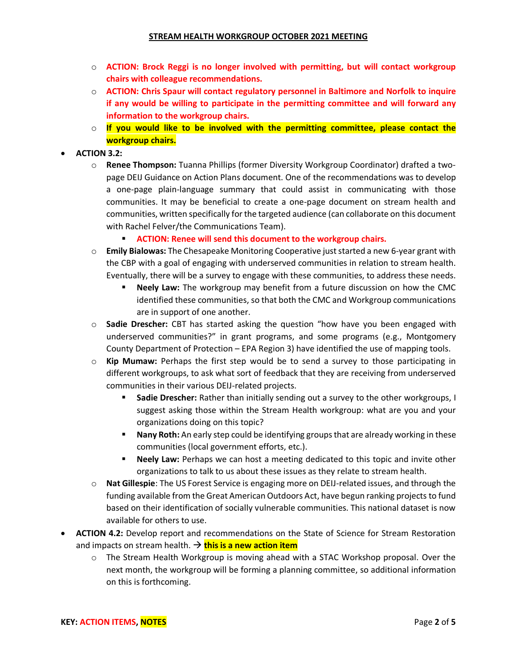- o **ACTION: Brock Reggi is no longer involved with permitting, but will contact workgroup chairs with colleague recommendations.**
- o **ACTION: Chris Spaur will contact regulatory personnel in Baltimore and Norfolk to inquire if any would be willing to participate in the permitting committee and will forward any information to the workgroup chairs.**
- o **If you would like to be involved with the permitting committee, please contact the workgroup chairs.**

## • **ACTION 3.2:**

- o **Renee Thompson:** Tuanna Phillips (former Diversity Workgroup Coordinator) drafted a twopage DEIJ Guidance on Action Plans document. One of the recommendations was to develop a one-page plain-language summary that could assist in communicating with those communities. It may be beneficial to create a one-page document on stream health and communities, written specifically for the targeted audience (can collaborate on this document with Rachel Felver/the Communications Team).
	- **EXECTION: Renee will send this document to the workgroup chairs.**
- o **Emily Bialowas:** The Chesapeake Monitoring Cooperative just started a new 6-year grant with the CBP with a goal of engaging with underserved communities in relation to stream health. Eventually, there will be a survey to engage with these communities, to address these needs.
	- **Neely Law:** The workgroup may benefit from a future discussion on how the CMC identified these communities, so that both the CMC and Workgroup communications are in support of one another.
- o **Sadie Drescher:** CBT has started asking the question "how have you been engaged with underserved communities?" in grant programs, and some programs (e.g., Montgomery County Department of Protection – EPA Region 3) have identified the use of mapping tools.
- o **Kip Mumaw:** Perhaps the first step would be to send a survey to those participating in different workgroups, to ask what sort of feedback that they are receiving from underserved communities in their various DEIJ-related projects.
	- **Sadie Drescher:** Rather than initially sending out a survey to the other workgroups, I suggest asking those within the Stream Health workgroup: what are you and your organizations doing on this topic?
	- **EXECT And The Indeed Step Set 10 and 10 and 10 and 10 and 10 and 10 and 10 and 10 and 10 and 10 and 10 and 10 and 10 and 10 and 10 and 10 and 10 and 10 and 10 and 10 and 10 and 10 and 10 and 10 and 10 and 10 and 10 and 10** communities (local government efforts, etc.).
	- **EXECT ADIDERTY IN NOTE 10 IN STARK IN NOTE 10 INCROOF ADIDED INCROOF INCROOF INCROOF INCROOF INCROOF INCROOF INCROOF INCROOF <b>NOTE** Other organizations to talk to us about these issues as they relate to stream health.
- o **Nat Gillespie**: The US Forest Service is engaging more on DEIJ-related issues, and through the funding available from the Great American Outdoors Act, have begun ranking projects to fund based on their identification of socially vulnerable communities. This national dataset is now available for others to use.
- **ACTION 4.2:** Develop report and recommendations on the State of Science for Stream Restoration and impacts on stream health. → **this is a new action item** 
	- o The Stream Health Workgroup is moving ahead with a STAC Workshop proposal. Over the next month, the workgroup will be forming a planning committee, so additional information on this is forthcoming.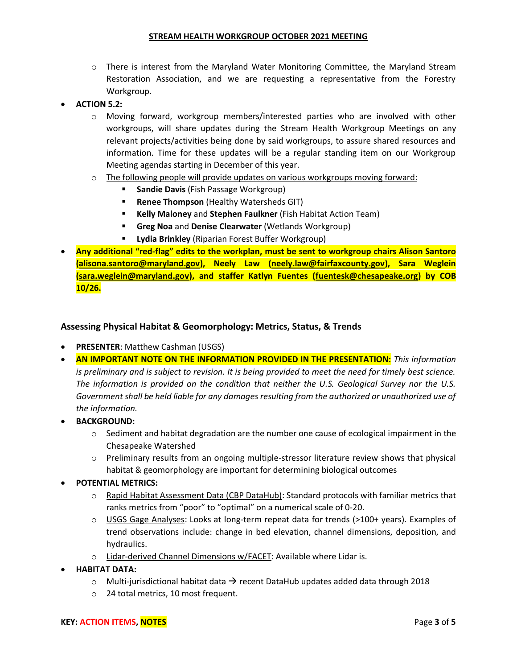#### **STREAM HEALTH WORKGROUP OCTOBER 2021 MEETING**

- $\circ$  There is interest from the Maryland Water Monitoring Committee, the Maryland Stream Restoration Association, and we are requesting a representative from the Forestry Workgroup.
- **ACTION 5.2:**
	- o Moving forward, workgroup members/interested parties who are involved with other workgroups, will share updates during the Stream Health Workgroup Meetings on any relevant projects/activities being done by said workgroups, to assure shared resources and information. Time for these updates will be a regular standing item on our Workgroup Meeting agendas starting in December of this year.
	- $\circ$  The following people will provide updates on various workgroups moving forward:
		- **Sandie Davis** (Fish Passage Workgroup)
		- **Renee Thompson** (Healthy Watersheds GIT)
		- **Kelly Maloney** and **Stephen Faulkner** (Fish Habitat Action Team)
		- **Greg Noa** and **Denise Clearwater** (Wetlands Workgroup)
		- **Lydia Brinkley** (Riparian Forest Buffer Workgroup)
- **Any additional "red-flag" edits to the workplan, must be sent to workgroup chairs Alison Santoro [\(alisona.santoro@maryland.gov\)](mailto:alisona.santoro@maryland.gov), Neely Law [\(neely.law@fairfaxcounty.gov\)](mailto:neely.law@fairfaxcounty.gov), Sara Weglein [\(sara.weglein@maryland.gov\)](mailto:sara.weglein@maryland.gov), and staffer Katlyn Fuentes [\(fuentesk@chesapeake.org\)](mailto:fuentesk@chesapeake.org) by COB 10/26.**

## **Assessing Physical Habitat & Geomorphology: Metrics, Status, & Trends**

- **PRESENTER**: Matthew Cashman (USGS)
- **AN IMPORTANT NOTE ON THE INFORMATION PROVIDED IN THE PRESENTATION:** *This information is preliminary and is subject to revision. It is being provided to meet the need for timely best science. The information is provided on the condition that neither the U.S. Geological Survey nor the U.S. Government shall be held liable for any damages resulting from the authorized or unauthorized use of the information.*
- **BACKGROUND:**
	- $\circ$  Sediment and habitat degradation are the number one cause of ecological impairment in the Chesapeake Watershed
	- o Preliminary results from an ongoing multiple-stressor literature review shows that physical habitat & geomorphology are important for determining biological outcomes
- **POTENTIAL METRICS:**
	- o Rapid Habitat Assessment Data (CBP DataHub): Standard protocols with familiar metrics that ranks metrics from "poor" to "optimal" on a numerical scale of 0-20.
	- o USGS Gage Analyses: Looks at long-term repeat data for trends (>100+ years). Examples of trend observations include: change in bed elevation, channel dimensions, deposition, and hydraulics.
	- o Lidar-derived Channel Dimensions w/FACET: Available where Lidar is.
- **HABITAT DATA:**
	- $\circ$  Multi-jurisdictional habitat data  $\rightarrow$  recent DataHub updates added data through 2018
	- o 24 total metrics, 10 most frequent.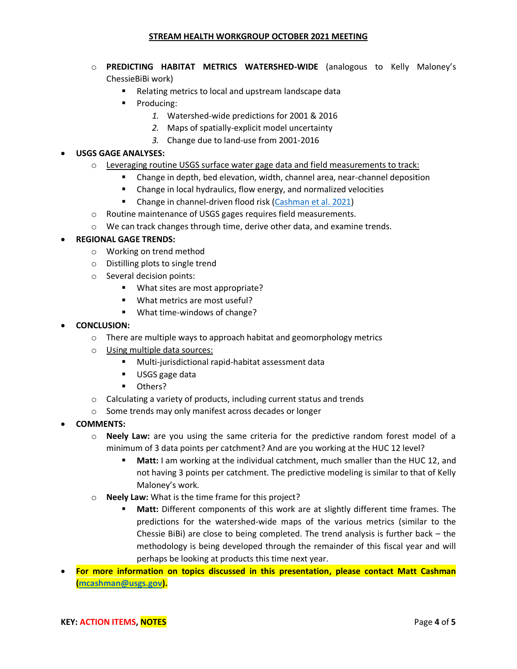#### **STREAM HEALTH WORKGROUP OCTOBER 2021 MEETING**

- o **PREDICTING HABITAT METRICS WATERSHED-WIDE** (analogous to Kelly Maloney's ChessieBiBi work)
	- Relating metrics to local and upstream landscape data
	- Producing:
		- *1.* Watershed-wide predictions for 2001 & 2016
		- *2.* Maps of spatially-explicit model uncertainty
		- *3.* Change due to land-use from 2001-2016

## • **USGS GAGE ANALYSES:**

- $\circ$  Leveraging routine USGS surface water gage data and field measurements to track:
	- Change in depth, bed elevation, width, channel area, near-channel deposition
	- Change in local hydraulics, flow energy, and normalized velocities
	- Change in channel-driven flood risk [\(Cashman et al. 2021\)](https://onlinelibrary.wiley.com/doi/10.1002/esp.5083)
- o Routine maintenance of USGS gages requires field measurements.
- $\circ$  We can track changes through time, derive other data, and examine trends.

## • **REGIONAL GAGE TRENDS:**

- o Working on trend method
- o Distilling plots to single trend
- o Several decision points:
	- What sites are most appropriate?
	- What metrics are most useful?
	- What time-windows of change?

## • **CONCLUSION:**

- o There are multiple ways to approach habitat and geomorphology metrics
- o Using multiple data sources:
	- Multi-jurisdictional rapid-habitat assessment data
	- USGS gage data
	- Others?
- o Calculating a variety of products, including current status and trends
- o Some trends may only manifest across decades or longer
- **COMMENTS:**
	- o **Neely Law:** are you using the same criteria for the predictive random forest model of a minimum of 3 data points per catchment? And are you working at the HUC 12 level?
		- **Matt:** I am working at the individual catchment, much smaller than the HUC 12, and not having 3 points per catchment. The predictive modeling is similar to that of Kelly Maloney's work.
	- o **Neely Law:** What is the time frame for this project?
		- **Matt:** Different components of this work are at slightly different time frames. The predictions for the watershed-wide maps of the various metrics (similar to the Chessie BiBi) are close to being completed. The trend analysis is further back – the methodology is being developed through the remainder of this fiscal year and will perhaps be looking at products this time next year.
- **For more information on topics discussed in this presentation, please contact Matt Cashman [\(mcashman@usgs.gov\)](mailto:mcashman@usgs.gov).**